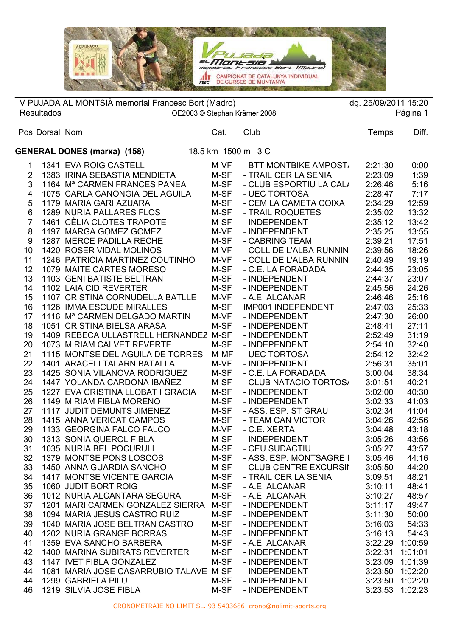Montsia C Bort (Maaro) CAMPIONAT DE CATALUNYA INDIVIDUAL<br>DE CURSES DE MUNTANYA FEEC **STANDARD TOM** 

 $\overline{\phantom{a}}$  $\overline{a}$  Pos Dorsal Nom Cat. Club Temps Diff. V PUJADA AL MONTSIÀ memorial Francesc Bort (Madro) dg. 25/09/2011 15:20 Resultados **DEXECTES** OE2003 © Stephan Krämer 2008 **CES** External Article Página 1 **GENERAL DONES (marxa) (158)** 18.5 km 1500 m 3 C 1 1341 EVA ROIG CASTELL M-VF - BTT MONTBIKE AMPOST 2:21:30 0:00 2 1383 IRINA SEBASTIA MENDIETA M-SF - TRAIL CER LA SENIA 2:23:09 1:39<br>3 1164 Mª CARMEN FRANCES PANEA M-SF - CLUB ESPORTIU LA CAL/ 2:26:46 5:16 1164 Mª CARMEN FRANCES PANEA M-SF - CLUB ESPORTIU LA CALA 2:26:46 5:16 1075 CARLA CANONGIA DEL AGUILA M-SF - UEC TORTOSA 2:28:47 7:17

| 4              | 1075 CARLA CANONGIA DEL AGUILA            | M-SF | - UEC TORTOSA           | 2:28:47 | 7:17    |
|----------------|-------------------------------------------|------|-------------------------|---------|---------|
| 5              | 1179 MARIA GARI AZUARA                    | M-SF | - CEM LA CAMETA COIXA   | 2:34:29 | 12:59   |
| 6              | <b>1289 NURIA PALLARES FLOS</b>           | M-SF | - TRAIL ROQUETES        | 2:35:02 | 13:32   |
| $\overline{7}$ | 1461 CÈLIA CLOTES TRAPOTE                 | M-SF | - INDEPENDENT           | 2:35:12 | 13:42   |
| 8              | 1197 MARGA GOMEZ GOMEZ                    | M-VF | - INDEPENDENT           | 2:35:25 | 13:55   |
| 9              | 1287 MERCE PADILLA RECHE                  | M-SF | - CABRING TEAM          | 2:39:21 | 17:51   |
| 10             | 1420 ROSER VIDAL MOLINOS                  | M-VF | - COLL DE L'ALBA RUNNIN | 2:39:56 | 18:26   |
| 11             | 1246 PATRICIA MARTINEZ COUTINHO           | M-VF | - COLL DE L'ALBA RUNNIN | 2:40:49 | 19:19   |
| 12             | 1079 MAITE CARTES MORESO                  | M-SF | - C.E. LA FORADADA      | 2:44:35 | 23:05   |
| 13             | 1103 GENI BATISTE BELTRAN                 | M-SF | - INDEPENDENT           | 2:44:37 | 23:07   |
| 14             | 1102 LAIA CID REVERTER                    | M-SF | - INDEPENDENT           | 2:45:56 | 24:26   |
| 15             | 1107 CRISTINA CORNUDELLA BATLLE           | M-VF | - A.E. ALCANAR          | 2:46:46 | 25:16   |
| 16             | 1126 IMMA ESCUDE MIRALLES                 | M-SF | IMP001 INDEPENDENT      | 2:47:03 | 25:33   |
| 17             | 1116 M <sup>a</sup> CARMEN DELGADO MARTIN | M-VF | - INDEPENDENT           | 2:47:30 | 26:00   |
| 18             | 1051 CRISTINA BIELSA ARASA                | M-SF | - INDEPENDENT           | 2:48:41 | 27:11   |
| 19             | 1409 REBECA ULLASTRELL HERNANDEZ          | M-SF | - INDEPENDENT           | 2:52:49 | 31:19   |
| 20             | 1073 MIRIAM CALVET REVERTE                | M-SF | - INDEPENDENT           | 2:54:10 | 32:40   |
| 21             | 1115 MONTSE DEL AGUILA DE TORRES          | M-MF | - UEC TORTOSA           | 2:54:12 | 32:42   |
| 22             | 1401 ARACELI TALARN BATALLA               | M-VF | - INDEPENDENT           | 2:56:31 | 35:01   |
| 23             | 1425 SONIA VILANOVA RODRIGUEZ             | M-SF | - C.E. LA FORADADA      | 3:00:04 | 38:34   |
| 24             | 1447 YOLANDA CARDONA IBAÑEZ               | M-SF | - CLUB NATACIO TORTOS/  | 3:01:51 | 40:21   |
| 25             | 1227 EVA CRISTINA LLOBAT I GRACIA         | M-SF | - INDEPENDENT           | 3:02:00 | 40:30   |
| 26             | 1149 MIRIAM FIBLA MORENO                  | M-SF | - INDEPENDENT           | 3:02:33 | 41:03   |
| 27             | 1117 JUDIT DEMUNTS JIMENEZ                | M-SF | - ASS. ESP. ST GRAU     | 3:02:34 | 41:04   |
| 28             | 1415 ANNA VERICAT CAMPOS                  | M-SF | - TEAM CAN VICTOR       | 3:04:26 | 42:56   |
| 29             | 1133 GEORGINA FALCO FALCO                 | M-VF | - C.E. XERTA            | 3:04:48 | 43:18   |
| 30             | 1313 SONIA QUEROL FIBLA                   | M-SF | - INDEPENDENT           | 3:05:26 | 43:56   |
| 31             | 1035 NURIA BEL POCURULL                   | M-SF | - CEU SUDACTIU          | 3:05:27 | 43:57   |
| 32             | 1379 MONTSE PONS LOSCOS                   | M-SF | - ASS. ESP. MONTSAGRE I | 3:05:46 | 44:16   |
| 33             | 1450 ANNA GUARDIA SANCHO                  | M-SF | - CLUB CENTRE EXCURSII  | 3:05:50 | 44:20   |
| 34             | 1417 MONTSE VICENTE GARCIA                | M-SF | - TRAIL CER LA SENIA    | 3:09:51 | 48:21   |
| 35             | 1060 JUDIT BORT ROIG                      | M-SF | - A.E. ALCANAR          | 3:10:11 | 48:41   |
| 36             | 1012 NURIA ALCANTARA SEGURA               | M-SF | - A.E. ALCANAR          | 3:10:27 | 48:57   |
| 37             | 1201 MARI CARMEN GONZALEZ SIERRA          | M-SF | - INDEPENDENT           | 3:11:17 | 49:47   |
| 38             | 1094 MARIA JESUS CASTRO RUIZ              | M-SF | - INDEPENDENT           | 3:11:30 | 50:00   |
| 39             | 1040 MARIA JOSE BELTRAN CASTRO            | M-SF | - INDEPENDENT           | 3:16:03 | 54:33   |
| 40             | 1202 NURIA GRANGE BORRAS                  | M-SF | - INDEPENDENT           | 3:16:13 | 54:43   |
| 41             | 1359 EVA SANCHO BARBERA                   | M-SF | - A.E. ALCANAR          | 3:22:29 | 1:00:59 |
| 42             | 1400 MARINA SUBIRATS REVERTER             | M-SF | - INDEPENDENT           | 3:22:31 | 1:01:01 |
| 43             | 1147 IVET FIBLA GONZALEZ                  | M-SF | - INDEPENDENT           | 3:23:09 | 1:01:39 |
| 44             | 1081 MARIA JOSE CASARRUBIO TALAVE M-SF    |      | - INDEPENDENT           | 3:23:50 | 1:02:20 |
| 44             | 1299 GABRIELA PILU                        | M-SF | - INDEPENDENT           | 3:23:50 | 1:02:20 |
| 46             | 1219 SILVIA JOSE FIBLA                    | M-SF | - INDEPENDENT           | 3:23:53 | 1:02:23 |
|                |                                           |      |                         |         |         |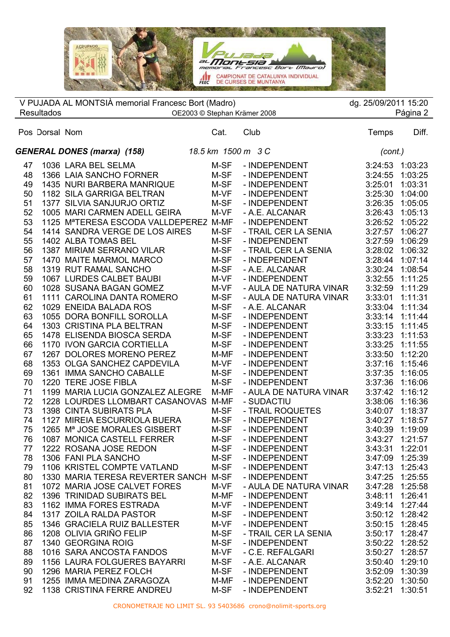

|    |                   | V PUJADA AL MONTSIÀ memorial Francesc Bort (Madro) |      |                        | dg. 25/09/2011 15:20 |          |
|----|-------------------|----------------------------------------------------|------|------------------------|----------------------|----------|
|    | <b>Resultados</b> | OE2003 © Stephan Krämer 2008                       |      |                        |                      | Página 2 |
|    | Pos Dorsal Nom    |                                                    | Cat. | Club                   | Temps                | Diff.    |
|    |                   | <b>GENERAL DONES (marxa) (158)</b>                 |      | 18.5 km  1500 m   3 C  | (cont.)              |          |
| 47 |                   | 1036 LARA BEL SELMA                                | M-SF | - INDEPENDENT          | 3:24:53              | 1:03:23  |
| 48 |                   | 1366 LAIA SANCHO FORNER                            | M-SF | - INDEPENDENT          | 3:24:55              | 1:03:25  |
| 49 |                   | 1435 NURI BARBERA MANRIQUE                         | M-SF | - INDEPENDENT          | 3:25:01              | 1:03:31  |
| 50 |                   | 1182 SILA GARRIGA BELTRAN                          | M-VF | - INDEPENDENT          | 3:25:30              | 1:04:00  |
| 51 |                   | 1377 SILVIA SANJURJO ORTIZ                         | M-SF | - INDEPENDENT          | 3:26:35              | 1:05:05  |
| 52 |                   | 1005 MARI CARMEN ADELL GEIRA                       | M-VF | - A.E. ALCANAR         | 3:26:43              | 1:05:13  |
| 53 |                   | 1125 MªTERESA ESCODA VALLDEPEREZ M-MF              |      | - INDEPENDENT          | 3:26:52              | 1:05:22  |
| 54 |                   | 1414 SANDRA VERGE DE LOS AIRES                     | M-SF | - TRAIL CER LA SENIA   | 3:27:57              | 1:06:27  |
| 55 |                   | 1402 ALBA TOMAS BEL                                | M-SF | - INDEPENDENT          | 3:27:59              | 1:06:29  |
| 56 |                   | 1387 MIRIAM SERRANO VILAR                          | M-SF | - TRAIL CER LA SENIA   | 3:28:02              | 1:06:32  |
| 57 |                   | 1470 MAITE MARMOL MARCO                            | M-SF | - INDEPENDENT          | 3:28:44              | 1:07:14  |
| 58 |                   | 1319 RUT RAMAL SANCHO                              | M-SF | - A.E. ALCANAR         | 3:30:24              | 1:08:54  |
| 59 |                   | 1067 LURDES CALBET BAUBI                           | M-VF | - INDEPENDENT          | 3:32:55              | 1:11:25  |
| 60 |                   | 1028 SUSANA BAGAN GOMEZ                            | M-VF | - AULA DE NATURA VINAR | 3:32:59              | 1:11:29  |
| 61 |                   | 1111 CAROLINA DANTA ROMERO                         | M-SF | - AULA DE NATURA VINAR | 3:33:01              | 1:11:31  |
| 62 |                   | 1029 ENEIDA BALADA ROS                             | M-SF | - A.E. ALCANAR         | 3:33:04              | 1:11:34  |
| 63 |                   | 1055 DORA BONFILL SOROLLA                          | M-SF | - INDEPENDENT          | 3:33:14              | 1:11:44  |
| 64 |                   | 1303 CRISTINA PLA BELTRAN                          | M-SF | - INDEPENDENT          | 3:33:15              | 1:11:45  |
| 65 |                   | 1478 ELISENDA BIOSCA SERDA                         | M-SF | - INDEPENDENT          | 3:33:23              | 1:11:53  |
| 66 |                   | 1170 IVON GARCIA CORTIELLA                         | M-SF | - INDEPENDENT          | 3:33:25              | 1:11:55  |
| 67 |                   | 1267 DOLORES MORENO PEREZ                          | M-MF | - INDEPENDENT          | 3:33:50              | 1:12:20  |
| 68 |                   | 1353 OLGA SANCHEZ CAPDEVILA                        | M-VF | - INDEPENDENT          | 3:37:16              | 1:15:46  |
| 69 |                   | 1361 IMMA SANCHO CABALLE                           | M-SF | - INDEPENDENT          | 3:37:35              | 1:16:05  |
| 70 |                   | 1220 TERE JOSE FIBLA                               | M-SF | - INDEPENDENT          | 3:37:36              | 1:16:06  |
| 71 |                   | 1199 MARIA LUCIA GONZALEZ ALEGRE                   | M-MF | - AULA DE NATURA VINAR | 3:37:42              | 1:16:12  |
| 72 |                   | 1228 LOURDES LLOMBART CASANOVAS M-MF               |      | - SUDACTIU             | 3:38:06              | 1:16:36  |
| 73 |                   | 1398 CINTA SUBIRATS PLA                            | M-SF | - TRAIL ROQUETES       | 3:40:07              | 1:18:37  |
| 74 |                   | 1127 MIREIA ESCURRIOLA BUERA                       | M-SF | - INDEPENDENT          | 3:40:27              | 1:18:57  |
| 75 |                   | 1265 Mª JOSE MORALES GISBERT                       | M-SF | - INDEPENDENT          | 3:40:39              | 1:19:09  |
| 76 |                   | 1087 MONICA CASTELL FERRER                         | M-SF | - INDEPENDENT          | 3:43:27 1:21:57      |          |
| 77 |                   | 1222 ROSANA JOSE REDON                             | M-SF | - INDEPENDENT          | 3:43:31              | 1:22:01  |
| 78 |                   | 1306 FANI PLA SANCHO                               | M-SF | - INDEPENDENT          | 3:47:09              | 1:25:39  |
| 79 |                   | 1106 KRISTEL COMPTE VATLAND                        | M-SF | - INDEPENDENT          | 3:47:13              | 1:25:43  |
| 80 |                   | 1330 MARIA TERESA REVERTER SANCH M-SF              |      | - INDEPENDENT          | 3:47:25              | 1:25:55  |
| 81 |                   | 1072 MARIA JOSE CALVET FORES                       | M-VF | - AULA DE NATURA VINAR | 3:47:28              | 1:25:58  |
| 82 |                   | 1396 TRINIDAD SUBIRATS BEL                         | M-MF | - INDEPENDENT          | 3:48:11              | 1:26:41  |
| 83 |                   | 1162 IMMA FORES ESTRADA                            | M-VF | - INDEPENDENT          | 3:49:14              | 1:27:44  |
| 84 |                   | 1317 ZOILA RALDA PASTOR                            | M-SF | - INDEPENDENT          | 3:50:12              | 1:28:42  |
| 85 |                   | 1346 GRACIELA RUIZ BALLESTER                       | M-VF | - INDEPENDENT          | 3:50:15              | 1:28:45  |
| 86 |                   | 1208 OLIVIA GRIÑO FELIP                            | M-SF | - TRAIL CER LA SENIA   | 3:50:17              | 1:28:47  |
| 87 |                   | 1340 GEORGINA ROIG                                 | M-SF | - INDEPENDENT          | 3:50:22              | 1:28:52  |
| 88 |                   | 1016 SARA ANCOSTA FANDOS                           | M-VF | - C.E. REFALGARI       | 3:50:27              | 1:28:57  |
| 89 |                   | 1156 LAURA FOLGUERES BAYARRI                       | M-SF | - A.E. ALCANAR         | 3:50:40              | 1:29:10  |
| 90 |                   | 1296 MARIA PEREZ FOLCH                             | M-SF | - INDEPENDENT          | 3:52:09              | 1:30:39  |
| 91 |                   | 1255 IMMA MEDINA ZARAGOZA                          | M-MF | - INDEPENDENT          | 3:52:20              | 1:30:50  |
| 92 |                   | 1138 CRISTINA FERRE ANDREU                         | M-SF | - INDEPENDENT          | 3:52:21              | 1:30:51  |
|    |                   |                                                    |      |                        |                      |          |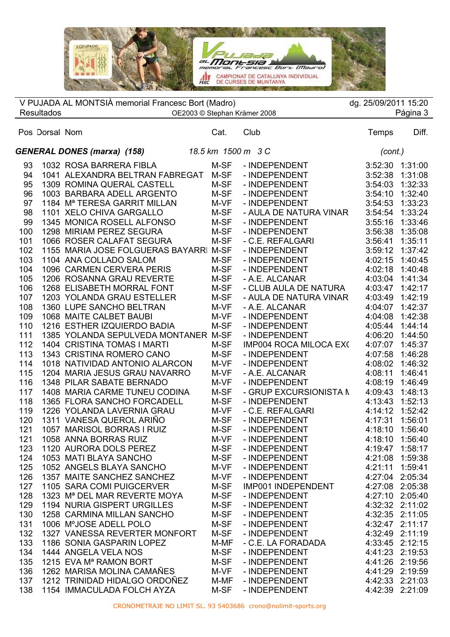

| <b>Resultados</b>                                                                                                                                             | V PUJADA AL MONTSIÀ memorial Francesc Bort (Madro)                                                                                                                                                                                                                                                                                                                                                                                                                                                                                                                                                                                                                                                                                                                        |                                                                                                                                                                              | OE2003 © Stephan Krämer 2008                                                                                                                                                                                                                                                                                                                                                                                                                                         | dg. 25/09/2011 15:20                                                                                                                                                                                                                                                    | Página 3                                                                                                                                                                                                                                                             |
|---------------------------------------------------------------------------------------------------------------------------------------------------------------|---------------------------------------------------------------------------------------------------------------------------------------------------------------------------------------------------------------------------------------------------------------------------------------------------------------------------------------------------------------------------------------------------------------------------------------------------------------------------------------------------------------------------------------------------------------------------------------------------------------------------------------------------------------------------------------------------------------------------------------------------------------------------|------------------------------------------------------------------------------------------------------------------------------------------------------------------------------|----------------------------------------------------------------------------------------------------------------------------------------------------------------------------------------------------------------------------------------------------------------------------------------------------------------------------------------------------------------------------------------------------------------------------------------------------------------------|-------------------------------------------------------------------------------------------------------------------------------------------------------------------------------------------------------------------------------------------------------------------------|----------------------------------------------------------------------------------------------------------------------------------------------------------------------------------------------------------------------------------------------------------------------|
| Pos Dorsal Nom                                                                                                                                                |                                                                                                                                                                                                                                                                                                                                                                                                                                                                                                                                                                                                                                                                                                                                                                           | Cat.                                                                                                                                                                         | Club                                                                                                                                                                                                                                                                                                                                                                                                                                                                 | Temps                                                                                                                                                                                                                                                                   | Diff.                                                                                                                                                                                                                                                                |
|                                                                                                                                                               | <b>GENERAL DONES (marxa) (158)</b>                                                                                                                                                                                                                                                                                                                                                                                                                                                                                                                                                                                                                                                                                                                                        | 18.5 km  1500 m   3 C                                                                                                                                                        |                                                                                                                                                                                                                                                                                                                                                                                                                                                                      | (cont.)                                                                                                                                                                                                                                                                 |                                                                                                                                                                                                                                                                      |
| 93<br>94<br>95<br>96<br>97<br>98<br>99<br>100<br>101<br>102<br>103<br>104<br>105<br>106<br>107<br>108<br>109<br>110<br>111<br>112<br>113<br>114<br>115<br>116 | 1032 ROSA BARRERA FIBLA<br>1041 ALEXANDRA BELTRAN FABREGAT<br>1309 ROMINA QUERAL CASTELL<br>1003 BARBARA ADELL ARGENTO<br>1184 M <sup>a</sup> TERESA GARRIT MILLAN<br>1101 XELO CHIVA GARGALLO<br>1345 MONICA ROSELL ALFONSO<br>1298 MIRIAM PEREZ SEGURA<br>1066 ROSER CALAFAT SEGURA<br>1155 MARIA JOSE FOLGUERAS BAYARRI M-SF<br>1104 ANA COLLADO SALOM<br>1096 CARMEN CERVERA PERIS<br>1206 ROSANNA GRAU REVERTE<br>1268 ELISABETH MORRAL FONT<br>1203 YOLANDA GRAU ESTELLER<br>1360 LUPE SANCHO BELTRAN<br>1068 MAITE CALBET BAUBI<br>1216 ESTHER IZQUIERDO BADIA<br>1385 YOLANDA SEPULVEDA MONTANER M-SF<br>1404 CRISTINA TOMAS I MARTI<br>1343 CRISTINA ROMERO CANO<br>1018 NATIVIDAD ANTONIO ALARCON<br>1204 MARIA JESUS GRAU NAVARRO<br>1348 PILAR SABATE BERNADO | M-SF<br>M-SF<br>M-SF<br>M-SF<br>M-VF<br>M-SF<br>M-SF<br>M-SF<br>M-SF<br>M-SF<br>M-SF<br>M-SF<br>M-SF<br>M-SF<br>M-VF<br>M-VF<br>M-SF<br>M-SF<br>M-SF<br>M-VF<br>M-VF<br>M-VF | - INDEPENDENT<br>- INDEPENDENT<br>- INDEPENDENT<br>- INDEPENDENT<br>- INDEPENDENT<br>- AULA DE NATURA VINAR<br>- INDEPENDENT<br>- INDEPENDENT<br>- C.E. REFALGARI<br>- INDEPENDENT<br>- INDEPENDENT<br>- INDEPENDENT<br>- A.E. ALCANAR<br>- CLUB AULA DE NATURA<br>- AULA DE NATURA VINAR<br>- A.E. ALCANAR<br>- INDEPENDENT<br>- INDEPENDENT<br>- INDEPENDENT<br><b>IMP004 ROCA MILOCA EX(</b><br>- INDEPENDENT<br>- INDEPENDENT<br>- A.E. ALCANAR<br>- INDEPENDENT | 3:52:30<br>3:52:38<br>3:54:03<br>3:54:10<br>3:54:53<br>3:54:54<br>3:55:16<br>3:56:38<br>3:56:41<br>3:59:12<br>4:02:15<br>4:02:18<br>4:03:04<br>4:03:47<br>4:03:49<br>4:04:07<br>4:04:08<br>4:05:44<br>4:06:20<br>4:07:07<br>4:07:58<br>4:08:02<br>4:08:11<br>4:08:19    | 1:31:00<br>1:31:08<br>1:32:33<br>1:32:40<br>1:33:23<br>1:33:24<br>1:33:46<br>1:35:08<br>1:35:11<br>1:37:42<br>1:40:45<br>1:40:48<br>1:41:34<br>1:42:17<br>1:42:19<br>1:42:37<br>1:42:38<br>1:44:14<br>1:44:50<br>1:45:37<br>1:46:28<br>1:46:32<br>1:46:41<br>1:46:49 |
| 117<br>118<br>119<br>120<br>121<br>121<br>123<br>124<br>125<br>126<br>127<br>128<br>129<br>130<br>131<br>132<br>133<br>134<br>135<br>136<br>137<br>138        | 1408 MARIA CARME TUNEU CODINA<br>1365 FLORA SANCHO FORCADELL<br>1226 YOLANDA LAVERNIA GRAU<br>1311 VANESA QUEROL ARIÑO<br>1057 MARISOL BORRAS I RUIZ<br>1058 ANNA BORRAS RUIZ<br>1120 AURORA DOLS PEREZ<br>1053 MATI BLAYA SANCHO<br>1052 ANGELS BLAYA SANCHO<br>1357 MAITE SANCHEZ SANCHEZ<br>1105 SARA COMI PUIGCERVER<br>1323 M <sup>a</sup> DEL MAR REVERTE MOYA<br>1194 NURIA GISPERT URGILLES<br>1258 CARMINA MILLAN SANCHO<br>1006 M°JOSE ADELL POLO<br>1327 VANESSA REVERTER MONFORT<br>1186 SONIA GASPARIN LOPEZ<br>1444 ANGELA VELA NOS<br>1215 EVA M <sup>a</sup> RAMON BORT<br>1262 MARISA MOLINA CAMAÑES<br>1212 TRINIDAD HIDALGO ORDOÑEZ<br>1154 IMMACULADA FOLCH AYZA                                                                                      | M-SF<br>M-SF<br>M-VF<br>M-SF<br>M-SF<br>M-VF<br>M-SF<br>M-SF<br>M-VF<br>M-VF<br>M-SF<br>M-SF<br>M-SF<br>M-SF<br>M-SF<br>M-SF<br>M-MF<br>M-SF<br>M-SF<br>M-VF<br>M-MF<br>M-SF | - GRUP EXCURSIONISTA N<br>- INDEPENDENT<br>- C.E. REFALGARI<br>- INDEPENDENT<br>- INDEPENDENT<br>- INDEPENDENT<br>- INDEPENDENT<br>- INDEPENDENT<br>- INDEPENDENT<br>- INDEPENDENT<br>IMP001 INDEPENDENT<br>- INDEPENDENT<br>- INDEPENDENT<br>- INDEPENDENT<br>- INDEPENDENT<br>- INDEPENDENT<br>- C.E. LA FORADADA<br>- INDEPENDENT<br>- INDEPENDENT<br>- INDEPENDENT<br>- INDEPENDENT<br>- INDEPENDENT                                                             | 4:09:43<br>4:13:43<br>4:14:12<br>4:17:31<br>4:18:10<br>4:19:47<br>4:21:08 1:59:38<br>4:21:11<br>4:27:04 2:05:34<br>4:27:08 2:05:38<br>4:27:10 2:05:40<br>4:32:47 2:11:17<br>4:32:49 2:11:19<br>4:33:45 2:12:15<br>4:41:23 2:19:53<br>4:41:26 2:19:56<br>4:41:29 2:19:59 | 1:48:13<br>1:52:13<br>1:52:42<br>1:56:01<br>1:56:40<br>4:18:10 1:56:40<br>1:58:17<br>1:59:41<br>4:32:32 2:11:02<br>4:32:35 2:11:05<br>4:42:33 2:21:03<br>4:42:39 2:21:09                                                                                             |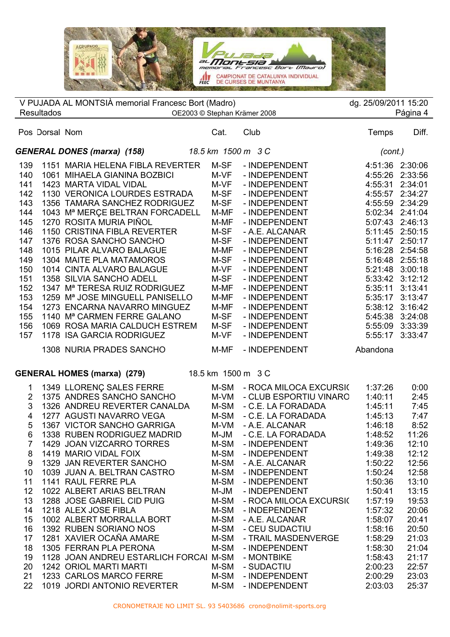

|                |                   | V PUJADA AL MONTSIÀ memorial Francesc Bort (Madro)                           |                |                                         | dg. 25/09/2011 15:20 |                    |
|----------------|-------------------|------------------------------------------------------------------------------|----------------|-----------------------------------------|----------------------|--------------------|
|                | <b>Resultados</b> | OE2003 © Stephan Krämer 2008                                                 |                |                                         |                      | Página 4           |
|                | Pos Dorsal Nom    |                                                                              | Cat.           | Club                                    | Temps                | Diff.              |
|                |                   | <b>GENERAL DONES (marxa) (158)</b>                                           |                | 18.5 km 1500 m 3 C                      | (cont.)              |                    |
| 139            |                   | 1151 MARIA HELENA FIBLA REVERTER                                             | M-SF           | - INDEPENDENT                           | 4:51:36              | 2:30:06            |
| 140            |                   | 1061 MIHAELA GIANINA BOZBICI                                                 | M-VF           | - INDEPENDENT                           | 4:55:26              | 2:33:56            |
| 141            |                   | 1423 MARTA VIDAL VIDAL                                                       | M-VF           | - INDEPENDENT                           | 4:55:31              | 2:34:01            |
| 142            |                   | 1130 VERONICA LOURDES ESTRADA                                                | M-SF           | - INDEPENDENT                           | 4:55:57              | 2:34:27            |
| 143            |                   | 1356 TAMARA SANCHEZ RODRIGUEZ                                                | M-SF           | - INDEPENDENT                           | 4:55:59 2:34:29      |                    |
| 144            |                   | 1043 Mª MERÇE BELTRAN FORCADELL                                              | M-MF           | - INDEPENDENT                           | 5:02:34              | 2:41:04            |
| 145            |                   | 1270 ROSITA MURIA PIÑOL                                                      | M-MF           | - INDEPENDENT                           | 5:07:43              | 2:46:13            |
| 146            |                   | 1150 CRISTINA FIBLA REVERTER                                                 | M-SF           | - A.E. ALCANAR                          | 5:11:45              | 2:50:15            |
| 147            |                   | 1376 ROSA SANCHO SANCHO                                                      | M-SF           | - INDEPENDENT                           | 5:11:47 2:50:17      |                    |
| 148            |                   | 1015 PILAR ALVARO BALAGUE                                                    | M-MF           | - INDEPENDENT                           | 5:16:28 2:54:58      |                    |
| 149            |                   | 1304 MAITE PLA MATAMOROS                                                     | M-SF           | - INDEPENDENT                           | 5:16:48 2:55:18      |                    |
| 150            |                   | 1014 CINTA ALVARO BALAGUE                                                    | M-VF           | - INDEPENDENT                           | 5:21:48              | 3:00:18            |
| 151            |                   | 1358 SILVIA SANCHO ADELL                                                     | M-SF           | - INDEPENDENT                           |                      | 5:33:42 3:12:12    |
| 152<br>153     |                   | 1347 M <sup>a</sup> TERESA RUIZ RODRIGUEZ<br>1259 Mª JOSE MINGUELL PANISELLO | M-MF<br>M-MF   | - INDEPENDENT<br>- INDEPENDENT          | 5:35:11<br>5:35:17   | 3:13:41<br>3:13:47 |
| 154            |                   | 1273 ENCARNA NAVARRO MINGUEZ                                                 | M-MF           | - INDEPENDENT                           | 5:38:12 3:16:42      |                    |
| 155            |                   | 1140 Mª CARMEN FERRE GALANO                                                  | M-SF           | - INDEPENDENT                           | 5:45:38              | 3:24:08            |
| 156            |                   | 1069 ROSA MARIA CALDUCH ESTREM                                               | M-SF           | - INDEPENDENT                           | 5:55:09              | 3:33:39            |
| 157            |                   | 1178 ISA GARCIA RODRIGUEZ                                                    | M-VF           | - INDEPENDENT                           | 5:55:17              | 3:33:47            |
|                |                   |                                                                              |                |                                         |                      |                    |
|                |                   | 1308 NURIA PRADES SANCHO                                                     | M-MF           | - INDEPENDENT                           | Abandona             |                    |
|                |                   | <b>GENERAL HOMES (marxa) (279)</b>                                           |                | 18.5 km 1500 m 3 C                      |                      |                    |
| 1              |                   | 1349 LLORENÇ SALES FERRE                                                     | M-SM           | - ROCA MILOCA EXCURSIO                  | 1:37:26              | 0:00               |
| $\overline{2}$ |                   | 1375 ANDRES SANCHO SANCHO                                                    | M-VM           | - CLUB ESPORTIU VINARO                  | 1:40:11              | 2:45               |
| 3              |                   | 1326 ANDREU REVERTER CANALDA                                                 | M-SM           | - C.E. LA FORADADA                      | 1:45:11              | 7:45               |
| 4              |                   | 1277 AGUSTI NAVARRO VEGA                                                     | M-SM           | - C.E. LA FORADADA                      | 1:45:13              | 7:47               |
| 5              |                   | 1367 VICTOR SANCHO GARRIGA                                                   | M-VM           | - A.E. ALCANAR                          | 1:46:18              | 8:52               |
| 6              |                   | 1338 RUBEN RODRIGUEZ MADRID                                                  | M-JM           | - C.E. LA FORADADA                      | 1:48:52              | 11:26              |
| 7              |                   | 1429 JOAN VIZCARRO TORRES                                                    | M-SM           | - INDEPENDENT                           | 1:49:36              | 12:10              |
| 8              |                   | 1419 MARIO VIDAL FOIX                                                        | M-SM           | - INDEPENDENT                           | 1:49:38              | 12:12              |
| 9              |                   | 1329 JAN REVERTER SANCHO                                                     | M-SM           | - A.E. ALCANAR                          | 1:50:22              | 12:56              |
| 10             |                   | 1039 JUAN A. BELTRAN CASTRO                                                  | M-SM           | - INDEPENDENT                           | 1:50:24              | 12:58              |
| 11             |                   | 1141 RAUL FERRE PLA                                                          | M-SM           | - INDEPENDENT                           | 1:50:36              | 13:10              |
| 12<br>13       |                   | 1022 ALBERT ARIAS BELTRAN<br>1288 JOSE GABRIEL CID PUIG                      | $M-JM$<br>M-SM | - INDEPENDENT<br>- ROCA MILOCA EXCURSI( | 1:50:41<br>1:57:19   | 13:15<br>19:53     |
| 14             |                   | 1218 ALEX JOSE FIBLA                                                         | M-SM           | - INDEPENDENT                           | 1:57:32              | 20:06              |
| 15             |                   | 1002 ALBERT MORRALLA BORT                                                    | M-SM           | - A.E. ALCANAR                          | 1:58:07              | 20:41              |
| 16             |                   | 1392 RUBEN SORIANO NOS                                                       | M-SM           | - CEU SUDACTIU                          | 1:58:16              | 20:50              |
| 17             |                   | 1281 XAVIER OCAÑA AMARE                                                      | M-SM           | - TRAIL MASDENVERGE                     | 1:58:29              | 21:03              |
| 18             |                   | 1305 FERRAN PLA PERONA                                                       | M-SM           | - INDEPENDENT                           | 1:58:30              | 21:04              |
| 19             |                   | 1128 JOAN ANDREU ESTARLICH FORCAI M-SM                                       |                | - MONTBIKE                              | 1:58:43              | 21:17              |
| 20             |                   | 1242 ORIOL MARTI MARTI                                                       | M-SM           | - SUDACTIU                              | 2:00:23              | 22:57              |
| 21             |                   | 1233 CARLOS MARCO FERRE                                                      | M-SM           | - INDEPENDENT                           | 2:00:29              | 23:03              |
| 22             |                   | 1019 JORDI ANTONIO REVERTER                                                  | M-SM           | - INDEPENDENT                           | 2:03:03              | 25:37              |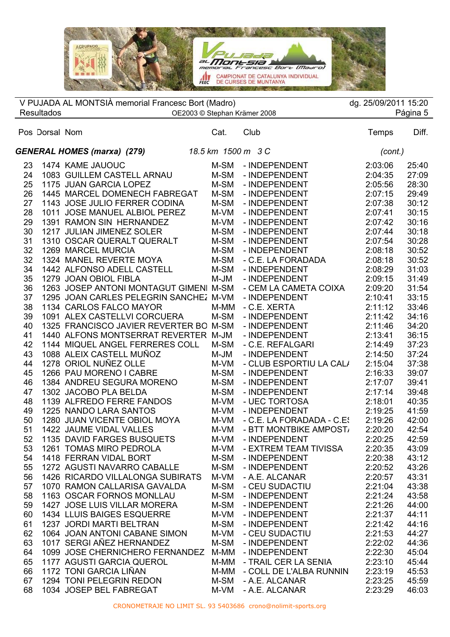**THE ANN PARK THE REAL PROPERTY** Montsel  $-$  Bort  $1$ *maaro* AMPIONAT DE CATALUNYA INDIVIDUAL DE CURSES DE MUNTANYA **CALC TO A TANK AND A TANK** 

 $\overline{\phantom{a}}$  $\overline{a}$  Pos Dorsal Nom Cat. Club Temps Diff. V PUJADA AL MONTSIÀ memorial Francesc Bort (Madro) dg. 25/09/2011 15:20 Resultados OE2003 © Stephan Krämer 2008 Página 5 *GENERAL HOMES (marxa) (279) 18.5 km 1500 m 3 C (cont.)* 1474 KAME JAUOUC M-SM - INDEPENDENT 2:03:06 25:40 1083 GUILLEM CASTELL ARNAU M-SM - INDEPENDENT 2:04:35 27:09 1175 JUAN GARCIA LOPEZ M-SM - INDEPENDENT 2:05:56 28:30 1445 MARCEL DOMENECH FABREGAT M-SM - INDEPENDENT 2:07:15 29:49 1143 JOSE JULIO FERRER CODINA M-SM - INDEPENDENT 2:07:38 30:12 1011 JOSE MANUEL ALBIOL PEREZ M-VM - INDEPENDENT 2:07:41 30:15 1391 RAMON SIN HERNANDEZ M-VM - INDEPENDENT 2:07:42 30:16 1217 JULIAN JIMENEZ SOLER M-SM - INDEPENDENT 2:07:44 30:18 1310 OSCAR QUERALT QUERALT M-SM - INDEPENDENT 2:07:54 30:28 1269 MARCEL MURCIA M-SM - INDEPENDENT 2:08:18 30:52 1324 MANEL REVERTE MOYA M-SM - C.E. LA FORADADA 2:08:18 30:52 1442 ALFONSO ADELL CASTELL M-SM - INDEPENDENT 2:08:29 31:03 1279 JOAN OBIOL FIBLA M-JM - INDEPENDENT 2:09:15 31:49 36 1263 JOSEP ANTONI MONTAGUT GIMENI M-SM - CEM LA CAMETA COIXA 2:09:20 31:54 1295 JOAN CARLES PELEGRIN SANCHEZ M-VM - INDEPENDENT 2:10:41 33:15 1134 CARLOS FALCO MAYOR M-MM - C.E. XERTA 2:11:12 33:46 1091 ALEX CASTELLVI CORCUERA M-SM - INDEPENDENT 2:11:42 34:16 1325 FRANCISCO JAVIER REVERTER BO M-SM - INDEPENDENT 2:11:46 34:20 1440 ALFONS MONTSERRAT REVERTER M-JM - INDEPENDENT 2:13:41 36:15 1144 MIQUEL ANGEL FERRERES COLL M-SM - C.E. REFALGARI 2:14:49 37:23 1088 ALEIX CASTELL MUÑOZ M-JM - INDEPENDENT 2:14:50 37:24 44 1278 ORIOL NUÑEZ OLLE M-VM - CLUB ESPORTIU LA CALA 2:15:04 37:38 1266 PAU MORENO I CABRE M-SM - INDEPENDENT 2:16:33 39:07 1384 ANDREU SEGURA MORENO M-SM - INDEPENDENT 2:17:07 39:41 1302 JACOBO PLA BELDA M-SM - INDEPENDENT 2:17:14 39:48 1139 ALFREDO FERRE FANDOS M-VM - UEC TORTOSA 2:18:01 40:35 1225 NANDO LARA SANTOS M-VM - INDEPENDENT 2:19:25 41:59 1280 JUAN VICENTE OBIOL MOYA M-VM - C.E. LA FORADADA - C.ES 2:19:26 42:00 51 1422 JAUME VIDAL VALLES M-VM - BTT MONTBIKE AMPOST 2:20:20 42:54 1135 DAVID FARGES BUSQUETS M-VM - INDEPENDENT 2:20:25 42:59 1261 TOMAS MIRO PEDROLA M-VM - EXTREM TEAM TIVISSA 2:20:35 43:09 1418 FERRAN VIDAL BORT M-SM - INDEPENDENT 2:20:38 43:12 1272 AGUSTI NAVARRO CABALLE M-SM - INDEPENDENT 2:20:52 43:26 1426 RICARDO VILLALONGA SUBIRATS M-VM - A.E. ALCANAR 2:20:57 43:31 1070 RAMON CALLARISA GAVALDA M-SM - CEU SUDACTIU 2:21:04 43:38 1163 OSCAR FORNOS MONLLAU M-SM - INDEPENDENT 2:21:24 43:58 1427 JOSE LUIS VILLAR MORERA M-SM - INDEPENDENT 2:21:26 44:00 1434 LLUIS BAIGES ESQUERRE M-VM - INDEPENDENT 2:21:37 44:11 1237 JORDI MARTI BELTRAN M-SM - INDEPENDENT 2:21:42 44:16 1064 JOAN ANTONI CABANE SIMON M-VM - CEU SUDACTIU 2:21:53 44:27 1017 SERGI AÑEZ HERNANDEZ M-SM - INDEPENDENT 2:22:02 44:36 1099 JOSE CHERNICHERO FERNANDEZ M-MM - INDEPENDENT 2:22:30 45:04 1177 AGUSTI GARCIA QUEROL M-MM - TRAIL CER LA SENIA 2:23:10 45:44 1172 TONI GARCIA LIÑAN M-MM - COLL DE L'ALBA RUNNIN 2:23:19 45:53 1294 TONI PELEGRIN REDON M-SM - A.E. ALCANAR 2:23:25 45:59 1034 JOSEP BEL FABREGAT M-VM - A.E. ALCANAR 2:23:29 46:03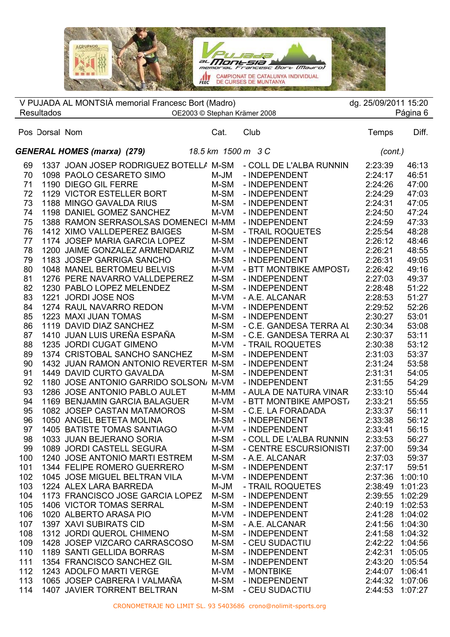PUJada al **MONESIA**<br>memorial Francesc Bort (Maaro)  $m$ e CAMPIONAT DE CATALUNYA INDIVIDUAL

 $\overline{\phantom{a}}$ 

|     |                   | V PUJADA AL MONTSIÀ memorial Francesc Bort (Madro)             |      |                              | dg. 25/09/2011 15:20 |          |
|-----|-------------------|----------------------------------------------------------------|------|------------------------------|----------------------|----------|
|     | <b>Resultados</b> | OE2003 © Stephan Krämer 2008                                   |      |                              |                      | Página 6 |
|     | Pos Dorsal Nom    |                                                                | Cat. | Club                         | Temps                | Diff.    |
|     |                   | 18.5 km 1500 m 3 C<br><b>GENERAL HOMES (marxa) (279)</b>       |      |                              | (cont.)              |          |
| 69  |                   | 1337 JOAN JOSEP RODRIGUEZ BOTELLA M-SM - COLL DE L'ALBA RUNNIN |      |                              | 2:23:39              | 46:13    |
| 70  |                   | 1098 PAOLO CESARETO SIMO                                       | M-JM | - INDEPENDENT                | 2:24:17              | 46:51    |
| 71  |                   | 1190 DIEGO GIL FERRE                                           | M-SM | - INDEPENDENT                | 2:24:26              | 47:00    |
| 72  |                   | 1129 VICTOR ESTELLER BORT                                      | M-SM | - INDEPENDENT                | 2:24:29              | 47:03    |
| 73  |                   | 1188 MINGO GAVALDA RIUS                                        | M-SM | - INDEPENDENT                | 2:24:31              | 47:05    |
| 74  |                   | 1198 DANIEL GOMEZ SANCHEZ                                      | M-VM | - INDEPENDENT                | 2:24:50              | 47:24    |
| 75  |                   | 1388 RAMON SERRASOLSAS DOMENECI M-MM                           |      | - INDEPENDENT                | 2:24:59              | 47:33    |
| 76  |                   | 1412 XIMO VALLDEPEREZ BAIGES                                   | M-SM | - TRAIL ROQUETES             | 2:25:54              | 48:28    |
| 77  |                   | 1174 JOSEP MARIA GARCIA LOPEZ                                  | M-SM | - INDEPENDENT                | 2:26:12              | 48:46    |
| 78  |                   | 1200 JAIME GONZALEZ ARMENDARIZ                                 | M-VM | - INDEPENDENT                | 2:26:21              | 48:55    |
| 79  |                   | 1183 JOSEP GARRIGA SANCHO                                      | M-SM | - INDEPENDENT                | 2:26:31              | 49:05    |
| 80  |                   | 1048 MANEL BERTOMEU BELVIS                                     | M-VM | - BTT MONTBIKE AMPOST,       | 2:26:42              | 49:16    |
| 81  |                   | 1276 PERE NAVARRO VALLDEPEREZ                                  | M-SM | - INDEPENDENT                | 2:27:03              | 49:37    |
| 82  |                   | 1230 PABLO LOPEZ MELENDEZ                                      | M-SM | - INDEPENDENT                | 2:28:48              | 51:22    |
| 83  |                   | 1221 JORDI JOSE NOS                                            | M-VM | - A.E. ALCANAR               | 2:28:53              | 51:27    |
| 84  |                   | 1274 RAUL NAVARRO REDON                                        | M-VM | - INDEPENDENT                | 2:29:52              | 52:26    |
| 85  |                   | 1223 MAXI JUAN TOMAS                                           | M-SM | - INDEPENDENT                | 2:30:27              | 53:01    |
| 86  |                   | 1119 DAVID DIAZ SANCHEZ                                        | M-SM | - C.E. GANDESA TERRA AL      | 2:30:34              | 53:08    |
| 87  |                   | 1410 JUAN LUIS UREÑA ESPAÑA                                    | M-SM | - C.E. GANDESA TERRA AL      | 2:30:37              | 53:11    |
| 88  |                   | 1235 JORDI CUGAT GIMENO                                        | M-VM | - TRAIL ROQUETES             | 2:30:38              | 53:12    |
| 89  |                   | 1374 CRISTOBAL SANCHO SANCHEZ                                  | M-SM | - INDEPENDENT                | 2:31:03              | 53:37    |
| 90  |                   | 1432 JUAN RAMON ANTONIO REVERTER M-SM                          |      | - INDEPENDENT                | 2:31:24              | 53:58    |
| 91  |                   | 1449 DAVID CURTO GAVALDA                                       | M-SM | - INDEPENDENT                | 2:31:31              | 54:05    |
| 92  |                   | 1180 JOSE ANTONIO GARRIDO SOLSON, M-VM                         |      | - INDEPENDENT                | 2:31:55              | 54:29    |
| 93  |                   | 1286 JOSE ANTONIO PABLO AULET                                  | M-MM | - AULA DE NATURA VINAR       | 2:33:10              | 55:44    |
| 94  |                   | 1169 BENJAMIN GARCIA BALAGUER                                  | M-VM | - BTT MONTBIKE AMPOST,       | 2:33:21              | 55:55    |
| 95  |                   | 1082 JOSEP CASTAN MATAMOROS                                    | M-SM | - C.E. LA FORADADA           | 2:33:37              | 56:11    |
| 96  |                   | 1050 ANGEL BETETA MOLINA                                       | M-SM | - INDEPENDENT                | 2:33:38              | 56:12    |
| 97  |                   | 1405 BATISTE TOMAS SANTIAGO                                    | M-VM | - INDEPENDENT                | 2:33:41              | 56:15    |
| 98  |                   | 1033 JUAN BEJERANO SORIA                                       |      | M-SM - COLL DE L'ALBA RUNNIN | 2:33:53              | 56:27    |
| 99  |                   | 1089 JORDI CASTELL SEGURA                                      | M-SM | - CENTRE ESCURSIONISTI       | 2:37:00              | 59:34    |
| 100 |                   | 1240 JOSE ANTONIO MARTI ESTREM                                 | M-SM | - A.E. ALCANAR               | 2:37:03              | 59:37    |
| 101 |                   | 1344 FELIPE ROMERO GUERRERO                                    | M-SM | - INDEPENDENT                | 2:37:17              | 59:51    |
| 102 |                   | 1045 JOSE MIGUEL BELTRAN VILA                                  | M-VM | - INDEPENDENT                | 2:37:36              | 1:00:10  |
| 103 |                   | 1224 ALEX LARA BARREDA                                         | M-JM | - TRAIL ROQUETES             | 2:38:49              | 1:01:23  |
| 104 |                   | 1173 FRANCISCO JOSE GARCIA LOPEZ                               | M-SM | - INDEPENDENT                | 2:39:55              | 1:02:29  |
| 105 |                   | <b>1406 VICTOR TOMAS SERRAL</b>                                | M-SM | - INDEPENDENT                | 2:40:19              | 1:02:53  |
| 106 |                   | 1020 ALBERTO ARASA PIO                                         | M-VM | - INDEPENDENT                | 2:41:28              | 1:04:02  |
| 107 |                   | 1397 XAVI SUBIRATS CID                                         | M-SM | - A.E. ALCANAR               | 2:41:56              | 1:04:30  |
| 108 |                   | 1312 JORDI QUEROL CHIMENO                                      | M-SM | - INDEPENDENT                | 2:41:58              | 1:04:32  |
| 109 |                   | 1428 JOSEP VIZCARO CARRASCOSO                                  | M-SM | - CEU SUDACTIU               | 2:42:22              | 1:04:56  |
| 110 |                   | 1189 SANTI GELLIDA BORRAS                                      | M-SM | - INDEPENDENT                | 2:42:31              | 1:05:05  |
| 111 |                   | 1354 FRANCISCO SANCHEZ GIL                                     | M-SM | - INDEPENDENT                | 2:43:20              | 1:05:54  |
| 112 |                   | 1243 ADOLFO MARTI VERGE                                        | M-VM | - MONTBIKE                   | 2:44:07              | 1:06:41  |
| 113 |                   | 1065 JOSEP CABRERA I VALMAÑA                                   | M-SM | - INDEPENDENT                | 2:44:32              | 1:07:06  |
| 114 |                   | 1407 JAVIER TORRENT BELTRAN                                    | M-SM | - CEU SUDACTIU               | 2:44:53              | 1:07:27  |
|     |                   |                                                                |      |                              |                      |          |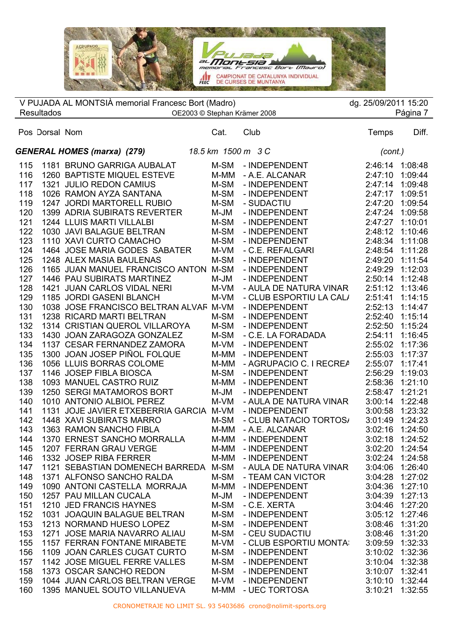

|     |                   | V PUJADA AL MONTSIÀ memorial Francesc Bort (Madro)            |        |                         | dg. 25/09/2011 15:20 |                 |
|-----|-------------------|---------------------------------------------------------------|--------|-------------------------|----------------------|-----------------|
|     | <b>Resultados</b> | OE2003 © Stephan Krämer 2008                                  |        |                         | Página 7             |                 |
|     | Pos Dorsal Nom    |                                                               | Cat.   | Club                    | Temps                | Diff.           |
|     |                   | <b>GENERAL HOMES (marxa) (279)</b> 18.5 km 1500 m 3 C         |        |                         | (cont.)              |                 |
| 115 |                   | 1181 BRUNO GARRIGA AUBALAT                                    | M-SM   | - INDEPENDENT           | 2:46:14              | 1:08:48         |
| 116 |                   | 1260 BAPTISTE MIQUEL ESTEVE                                   | M-MM   | - A.E. ALCANAR          | 2:47:10              | 1:09:44         |
| 117 |                   | 1321 JULIO REDON CAMIUS                                       | M-SM   | - INDEPENDENT           | 2:47:14 1:09:48      |                 |
| 118 |                   | 1026 RAMON AYZA SANTANA                                       | M-SM   | - INDEPENDENT           | 2:47:17 1:09:51      |                 |
| 119 |                   | 1247 JORDI MARTORELL RUBIO                                    | M-SM   | - SUDACTIU              | 2:47:20              | 1:09:54         |
| 120 |                   | <b>1399 ADRIA SUBIRATS REVERTER</b>                           | M-JM   | - INDEPENDENT           | 2:47:24 1:09:58      |                 |
| 121 |                   | 1244 LLUIS MARTI VILLALBI                                     | M-SM   | - INDEPENDENT           | 2:47:27 1:10:01      |                 |
| 122 |                   | 1030 JAVI BALAGUE BELTRAN                                     | M-SM   | - INDEPENDENT           | 2:48:12              | 1:10:46         |
| 123 |                   | 1110 XAVI CURTO CAMACHO                                       | M-SM   | - INDEPENDENT           | 2:48:34              | 1:11:08         |
| 124 |                   | 1464 JOSE MARIA GODES SABATER                                 | M-VM   | - C.E. REFALGARI        | 2:48:54              | 1:11:28         |
| 125 |                   | 1248 ALEX MASIA BAULENAS                                      | M-SM   | - INDEPENDENT           | 2:49:20              | 1:11:54         |
| 126 |                   | 1165 JUAN MANUEL FRANCISCO ANTON M-SM                         |        | - INDEPENDENT           | 2:49:29              | 1:12:03         |
| 127 |                   | 1446 PAU SUBIRATS MARTINEZ                                    | M-JM   | - INDEPENDENT           | 2:50:14              | 1:12:48         |
| 128 |                   | 1421 JUAN CARLOS VIDAL NERI                                   | M-VM   | - AULA DE NATURA VINAR  | 2:51:12              | 1:13:46         |
| 129 |                   | 1185 JORDI GASENI BLANCH                                      | M-VM   | - CLUB ESPORTIU LA CAL/ | 2:51:41              | 1:14:15         |
| 130 |                   | 1038 JOSE FRANCISCO BELTRAN ALVAR M-VM                        |        | - INDEPENDENT           | 2:52:13              | 1:14:47         |
| 131 |                   | 1238 RICARD MARTI BELTRAN                                     | M-SM   | - INDEPENDENT           | 2:52:40              | 1:15:14         |
| 132 |                   | 1314 CRISTIAN QUEROL VILLAROYA                                | M-SM   | - INDEPENDENT           | 2:52:50              | 1:15:24         |
| 133 |                   | 1430 JOAN ZARAGOZA GONZALEZ                                   | M-SM   | - C.E. LA FORADADA      | 2:54:11              | 1:16:45         |
| 134 |                   | 1137 CESAR FERNANDEZ ZAMORA                                   | M-VM   | - INDEPENDENT           | 2:55:02              | 1:17:36         |
| 135 |                   | 1300 JOAN JOSEP PIÑOL FOLQUE                                  | M-MM   | - INDEPENDENT           | 2:55:03              | 1:17:37         |
| 136 |                   | 1056 LLUIS BORRAS COLOME                                      | $M-MM$ | - AGRUPACIO C. I RECREA | 2:55:07              | 1:17:41         |
| 137 |                   | 1146 JOSEP FIBLA BIOSCA                                       | M-SM   | - INDEPENDENT           | 2:56:29              | 1:19:03         |
| 138 |                   | 1093 MANUEL CASTRO RUIZ                                       | M-MM   | - INDEPENDENT           | 2:58:36              | 1:21:10         |
| 139 |                   | 1250 SERGI MATAMOROS BORT                                     | M-JM   | - INDEPENDENT           | 2:58:47              | 1:21:21         |
| 140 |                   | 1010 ANTONIO ALBIOL PEREZ                                     | M-VM   | - AULA DE NATURA VINAR  | 3:00:14              | 1:22:48         |
| 141 |                   | 1131 JOJE JAVIER ETXEBERRIA GARCIA M-VM                       |        | - INDEPENDENT           | 3:00:58              | 1:23:32         |
| 142 |                   | 1448 XAVI SUBIRATS MARRO                                      | M-SM   | - CLUB NATACIO TORTOS/  | 3:01:49              | 1:24:23         |
| 143 |                   | 1363 RAMON SANCHO FIBLA                                       | M-MM   | - A.E. ALCANAR          | 3:02:16              | 1:24:50         |
| 144 |                   | 1370 ERNEST SANCHO MORRALLA M-MM                              |        | - INDEPENDENT           |                      | 3:02:18 1:24:52 |
| 145 |                   | 1207 FERRAN GRAU VERGE                                        | M-MM   | - INDEPENDENT           |                      | 3:02:20 1:24:54 |
| 146 |                   | 1332 JOSEP RIBA FERRER                                        | M-MM   | - INDEPENDENT           | 3:02:24              | 1:24:58         |
| 147 |                   | 1121 SEBASTIAN DOMENECH BARREDA M-SM                          |        | - AULA DE NATURA VINAR  | 3:04:06              | 1:26:40         |
| 148 |                   | 1371 ALFONSO SANCHO RALDA                                     | M-SM   | - TEAM CAN VICTOR       | 3:04:28              | 1:27:02         |
| 149 |                   | 1090 ANTONI CASTELLA MORRAJA                                  | M-MM   | - INDEPENDENT           | 3:04:36              | 1:27:10         |
| 150 |                   | 1257 PAU MILLAN CUCALA                                        | M-JM   | - INDEPENDENT           | 3:04:39              | 1:27:13         |
| 151 |                   | 1210 JED FRANCIS HAYNES                                       | M-SM   | - C.E. XERTA            | 3:04:46              | 1:27:20         |
| 152 |                   | 1031 JOAQUIN BALAGUE BELTRAN                                  | M-SM   | - INDEPENDENT           | 3:05:12              | 1:27:46         |
| 153 |                   | 1213 NORMAND HUESO LOPEZ                                      | M-SM   | - INDEPENDENT           | 3:08:46              | 1:31:20         |
| 153 |                   | 1271 JOSE MARIA NAVARRO ALIAU                                 | M-SM   | - CEU SUDACTIU          | 3:08:46              | 1:31:20         |
| 155 |                   | 1157 FERRAN FONTANE MIRABETE                                  | M-VM   | - CLUB ESPORTIU MONTA   | 3:09:59              | 1:32:33         |
| 156 |                   | 1109 JOAN CARLES CUGAT CURTO                                  | M-SM   | - INDEPENDENT           | 3:10:02              | 1:32:36         |
| 157 |                   | 1142 JOSE MIGUEL FERRE VALLES                                 | M-SM   | - INDEPENDENT           | 3:10:04              | 1:32:38         |
| 158 |                   | 1373 OSCAR SANCHO REDON                                       | M-SM   | - INDEPENDENT           | 3:10:07              | 1:32:41         |
| 159 |                   | 1044 JUAN CARLOS BELTRAN VERGE                                | M-VM   | - INDEPENDENT           | 3:10:10              | 1:32:44         |
| 160 |                   | 1395 MANUEL SOUTO VILLANUEVA                                  | M-MM   | - UEC TORTOSA           | 3:10:21              | 1:32:55         |
|     |                   | CRONOMETRAJE NO LIMIT SL. 93 5403686 crono@nolimit-sports.org |        |                         |                      |                 |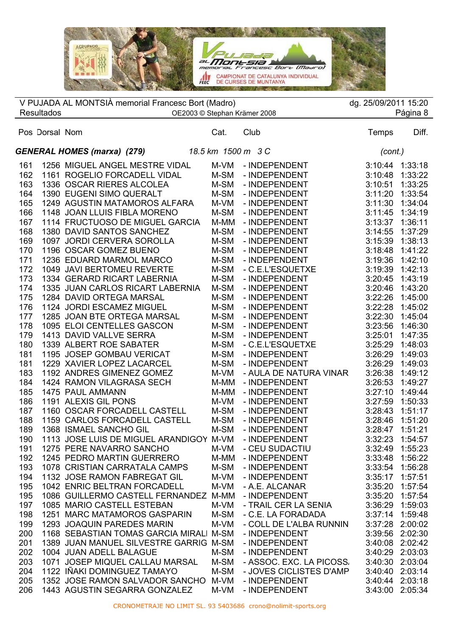

|     |                   | V PUJADA AL MONTSIÀ memorial Francesc Bort (Madro)       |      |                          | dg. 25/09/2011 15:20 |                 |
|-----|-------------------|----------------------------------------------------------|------|--------------------------|----------------------|-----------------|
|     | <b>Resultados</b> | OE2003 © Stephan Krämer 2008                             |      |                          |                      | Página 8        |
|     | Pos Dorsal Nom    |                                                          | Cat. | Club                     | Temps                | Diff.           |
|     |                   | <b>GENERAL HOMES (marxa) (279)</b><br>18.5 km 1500 m 3 C |      |                          | (cont.)              |                 |
| 161 |                   | 1256 MIGUEL ANGEL MESTRE VIDAL                           | M-VM | - INDEPENDENT            | 3:10:44              | 1:33:18         |
| 162 |                   | 1161 ROGELIO FORCADELL VIDAL                             | M-SM | - INDEPENDENT            | 3:10:48              | 1:33:22         |
| 163 |                   | 1336 OSCAR RIERES ALCOLEA                                | M-SM | - INDEPENDENT            | 3:10:51              | 1:33:25         |
| 164 |                   | 1390 EUGENI SIMO QUERALT                                 | M-SM | - INDEPENDENT            | 3:11:20              | 1:33:54         |
| 165 |                   | 1249 AGUSTIN MATAMOROS ALFARA                            | M-VM | - INDEPENDENT            | 3:11:30              | 1:34:04         |
| 166 |                   | 1148 JOAN LLUIS FIBLA MORENO                             | M-SM | - INDEPENDENT            | 3:11:45              | 1:34:19         |
| 167 |                   | 1114 FRUCTUOSO DE MIGUEL GARCIA                          | M-MM | - INDEPENDENT            | 3:13:37              | 1:36:11         |
| 168 |                   | 1380 DAVID SANTOS SANCHEZ                                | M-SM | - INDEPENDENT            | 3:14:55              | 1:37:29         |
| 169 |                   | 1097 JORDI CERVERA SOROLLA                               | M-SM | - INDEPENDENT            | 3:15:39              | 1:38:13         |
| 170 |                   | 1196 OSCAR GOMEZ BUENO                                   | M-SM | - INDEPENDENT            | 3:18:48              | 1:41:22         |
| 171 |                   | 1236 EDUARD MARMOL MARCO                                 | M-SM | - INDEPENDENT            | 3:19:36              | 1:42:10         |
| 172 |                   | 1049 JAVI BERTOMEU REVERTE                               | M-SM | - C.E.L'ESQUETXE         | 3:19:39              | 1:42:13         |
| 173 |                   | 1334 GERARD RICART LABERNIA                              | M-SM | - INDEPENDENT            | 3:20:45              | 1:43:19         |
| 174 |                   | 1335 JUAN CARLOS RICART LABERNIA                         | M-SM | - INDEPENDENT            | 3:20:46              | 1:43:20         |
| 175 |                   | 1284 DAVID ORTEGA MARSAL                                 | M-SM | - INDEPENDENT            | 3:22:26              | 1:45:00         |
| 176 |                   | 1124 JORDI ESCAMEZ MIGUEL                                | M-SM | - INDEPENDENT            | 3:22:28              | 1:45:02         |
| 177 |                   | 1285 JOAN BTE ORTEGA MARSAL                              | M-SM | - INDEPENDENT            | 3:22:30              | 1:45:04         |
| 178 |                   | 1095 ELOI CENTELLES GASCON                               | M-SM | - INDEPENDENT            | 3:23:56              | 1:46:30         |
| 179 |                   | 1413 DAVID VALLVE SERRA                                  | M-SM | - INDEPENDENT            | 3:25:01              | 1:47:35         |
| 180 |                   | 1339 ALBERT ROE SABATER                                  | M-SM | - C.E.L'ESQUETXE         | 3:25:29              | 1:48:03         |
| 181 |                   | 1195 JOSEP GOMBAU VERICAT                                | M-SM | - INDEPENDENT            | 3:26:29              | 1:49:03         |
| 181 |                   | 1229 XAVIER LOPEZ LACARCEL                               | M-SM | - INDEPENDENT            | 3:26:29              | 1:49:03         |
| 183 |                   |                                                          |      |                          | 3:26:38              |                 |
|     |                   | 1192 ANDRES GIMENEZ GOMEZ                                | M-VM | - AULA DE NATURA VINAR   |                      | 1:49:12         |
| 184 |                   | 1424 RAMON VILAGRASA SECH                                | M-MM | - INDEPENDENT            | 3:26:53              | 1:49:27         |
| 185 |                   | 1475 PAUL AMMANN                                         | M-MM | - INDEPENDENT            | 3:27:10              | 1:49:44         |
| 186 |                   | 1191 ALEXIS GIL PONS                                     | M-VM | - INDEPENDENT            | 3:27:59              | 1:50:33         |
| 187 |                   | 1160 OSCAR FORCADELL CASTELL                             | M-SM | - INDEPENDENT            | 3:28:43              | 1:51:17         |
| 188 |                   | 1159 CARLOS FORCADELL CASTELL                            | M-SM | - INDEPENDENT            | 3:28:46              | 1:51:20         |
| 189 |                   | 1368 ISMAEL SANCHO GIL                                   | M-SM | - INDEPENDENT            | 3:28:47              | 1:51:21         |
| 190 |                   | 1113 JOSE LUIS DE MIGUEL ARANDIGOY M-VM                  |      | - INDEPENDENT            |                      | 3:32:23 1:54:57 |
| 191 |                   | 1275 PERE NAVARRO SANCHO                                 | M-VM | - CEU SUDACTIU           |                      | 3:32:49 1:55:23 |
| 192 |                   | 1245 PEDRO MARTIN GUERRERO                               | M-MM | - INDEPENDENT            | 3:33:48              | 1:56:22         |
| 193 |                   | 1078 CRISTIAN CARRATALA CAMPS                            | M-SM | - INDEPENDENT            | 3:33:54              | 1:56:28         |
| 194 |                   | 1132 JOSE RAMON FABREGAT GIL                             | M-VM | - INDEPENDENT            | 3:35:17              | 1:57:51         |
| 195 |                   | 1042 ENRIC BELTRAN FORCADELL                             | M-VM | - A.E. ALCANAR           | 3:35:20              | 1:57:54         |
| 195 |                   | 1086 GUILLERMO CASTELL FERNANDEZ M-MM                    |      | - INDEPENDENT            | 3:35:20              | 1:57:54         |
| 197 |                   | 1085 MARIO CASTELL ESTEBAN                               | M-VM | - TRAIL CER LA SENIA     | 3:36:29              | 1:59:03         |
| 198 |                   | 1251 MARC MATAMOROS GASPARIN                             | M-SM | - C.E. LA FORADADA       | 3:37:14              | 1:59:48         |
| 199 |                   | 1293 JOAQUIN PAREDES MARIN                               | M-VM | - COLL DE L'ALBA RUNNIN  | 3:37:28              | 2:00:02         |
| 200 |                   | 1168 SEBASTIAN TOMAS GARCIA MIRALI M-SM                  |      | - INDEPENDENT            | 3:39:56              | 2:02:30         |
| 201 |                   | 1389 JUAN MANUEL SILVESTRE GARRIG M-SM                   |      | - INDEPENDENT            | 3:40:08 2:02:42      |                 |
| 202 |                   | 1004 JUAN ADELL BALAGUE                                  | M-SM | - INDEPENDENT            | 3:40:29 2:03:03      |                 |
| 203 |                   | 1071 JOSEP MIQUEL CALLAU MARSAL                          | M-SM | - ASSOC. EXC. LA PICOSS. | 3:40:30              | 2:03:04         |
| 204 |                   | 1122 IÑAKI DOMINGUEZ TAMAYO                              | M-SM | - JOVES CICLISTES D'AMP  |                      | 3:40:40 2:03:14 |
| 205 |                   | 1352 JOSE RAMON SALVADOR SANCHO M-VM                     |      | - INDEPENDENT            | 3:40:44              | 2:03:18         |
| 206 |                   | 1443 AGUSTIN SEGARRA GONZALEZ                            | M-VM | - INDEPENDENT            | 3:43:00              | 2:05:34         |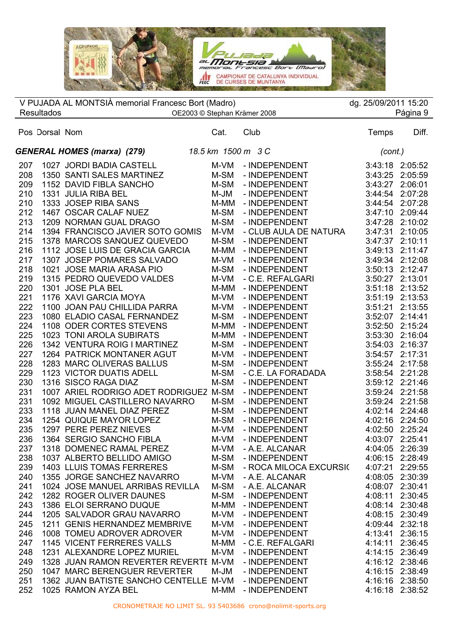$\Box_L$ Victoria in c al **MONESIA**<br>memorial Francesc Bort (Maaro)  $m$ e CAMPIONAT DE CATALUNYA INDIVIDUAL

|            |                   | V PUJADA AL MONTSIÀ memorial Francesc Bort (Madro)           |              |                                         | dg. 25/09/2011 15:20 |                                    |
|------------|-------------------|--------------------------------------------------------------|--------------|-----------------------------------------|----------------------|------------------------------------|
|            | <b>Resultados</b> | OE2003 © Stephan Krämer 2008                                 |              |                                         |                      | Página 9                           |
|            | Pos Dorsal Nom    |                                                              | Cat.         | Club                                    | Temps                | Diff.                              |
|            |                   | <b>GENERAL HOMES (marxa) (279)</b>                           |              | 18.5 km 1500 m 3 C                      | (cont.)              |                                    |
|            |                   |                                                              |              |                                         |                      |                                    |
| 207        |                   | 1027 JORDI BADIA CASTELL                                     | M-VM         | - INDEPENDENT                           |                      | 3:43:18 2:05:52<br>2:05:59         |
| 208        |                   | 1350 SANTI SALES MARTINEZ                                    | M-SM         | - INDEPENDENT<br>- INDEPENDENT          | 3:43:25<br>3:43:27   |                                    |
| 209        |                   | 1152 DAVID FIBLA SANCHO                                      | M-SM         |                                         |                      | 2:06:01                            |
| 210        |                   | 1331 JULIA RIBA BEL                                          | M-JM         | - INDEPENDENT                           | 3:44:54              | 2:07:28                            |
| 210        |                   | 1333 JOSEP RIBA SANS                                         | M-MM         | - INDEPENDENT                           | 3:44:54              | 2:07:28                            |
| 212        |                   | 1467 OSCAR CALAF NUEZ                                        | M-SM         | - INDEPENDENT                           | 3:47:10              | 2:09:44                            |
| 213        |                   | 1209 NORMAN GUAL DRAGO                                       | M-SM         | - INDEPENDENT                           | 3:47:28              | 2:10:02                            |
| 214        |                   | 1394 FRANCISCO JAVIER SOTO GOMIS                             | M-VM         | - CLUB AULA DE NATURA                   | 3:47:31              | 2:10:05                            |
| 215        |                   | 1378 MARCOS SANQUEZ QUEVEDO                                  | M-SM         | - INDEPENDENT                           | 3:47:37              | 2:10:11                            |
| 216        |                   | 1112 JOSE LUIS DE GRACIA GARCIA                              | M-MM         | - INDEPENDENT                           |                      | 3:49:13 2:11:47                    |
| 217        |                   | 1307 JOSEP POMARES SALVADO                                   | M-VM         | - INDEPENDENT                           |                      | 3:49:34 2:12:08                    |
| 218        |                   | 1021 JOSE MARIA ARASA PIO                                    | M-SM         | - INDEPENDENT                           |                      | 3:50:13 2:12:47                    |
| 219        |                   | 1315 PEDRO QUEVEDO VALDES                                    | M-VM         | - C.E. REFALGARI                        |                      | 3:50:27 2:13:01                    |
| 220        |                   | 1301 JOSE PLA BEL                                            | M-MM         | - INDEPENDENT                           |                      | 3:51:18 2:13:52                    |
| 221        |                   | 1176 XAVI GARCIA MOYA                                        | M-VM         | - INDEPENDENT                           |                      | 3:51:19 2:13:53                    |
| 222        |                   | 1100 JOAN PAU CHILLIDA PARRA                                 | M-VM         | - INDEPENDENT                           | 3:51:21              | 2:13:55                            |
| 223        |                   | 1080 ELADIO CASAL FERNANDEZ                                  | M-SM         | - INDEPENDENT                           |                      | 3:52:07 2:14:41                    |
| 224        |                   | 1108 ODER CORTES STEVENS                                     | M-MM         | - INDEPENDENT                           | 3:52:50              | 2:15:24                            |
| 225        |                   | 1023 TONI AROLA SUBIRATS                                     | M-MM         | - INDEPENDENT                           | 3:53:30              | 2:16:04                            |
| 226        |                   | 1342 VENTURA ROIG I MARTINEZ                                 | M-SM         | - INDEPENDENT                           | 3:54:03              | 2:16:37                            |
| 227        |                   | 1264 PATRICK MONTANER AGUT                                   | M-VM         | - INDEPENDENT                           | 3:54:57              | 2:17:31                            |
| 228        |                   | 1283 MARC OLIVERAS BALLUS                                    | M-SM         | - INDEPENDENT                           | 3:55:24              | 2:17:58                            |
| 229        |                   | 1123 VICTOR DUATIS ADELL                                     | M-SM         | - C.E. LA FORADADA                      |                      | 3:58:54 2:21:28                    |
| 230        |                   | 1316 SISCO RAGA DIAZ                                         | M-SM         | - INDEPENDENT                           |                      | 3:59:12 2:21:46                    |
| 231        |                   | 1007 ARIEL RODRIGO ADET RODRIGUEZ M-SM                       |              | - INDEPENDENT                           |                      | 3:59:24 2:21:58                    |
| 231        |                   | 1092 MIGUEL CASTILLERO NAVARRO<br>1118 JUAN MANEL DIAZ PEREZ | M-SM         | - INDEPENDENT                           |                      | 3:59:24 2:21:58<br>4:02:14 2:24:48 |
| 233        |                   |                                                              | M-SM         | - INDEPENDENT                           |                      |                                    |
| 234        |                   | 1254 QUIQUE MAYOR LOPEZ<br>1297 PERE PEREZ NIEVES            | M-SM         | - INDEPENDENT                           |                      | 4:02:16 2:24:50                    |
| 235        |                   |                                                              | M-VM         | - INDEPENDENT                           |                      | 4:02:50 2:25:24                    |
| 236        |                   | 1364 SERGIO SANCHO FIBLA                                     | M-VM         | - INDEPENDENT                           |                      | 4:03:07 2:25:41                    |
| 237        |                   | 1318 DOMENEC RAMAL PEREZ<br>1037 ALBERTO BELLIDO AMIGO       | M-VM         | - A.E. ALCANAR                          | 4:04:05              | 2:26:39<br>2:28:49                 |
| 238<br>239 |                   | <b>1403 LLUIS TOMAS FERRERES</b>                             | M-SM<br>M-SM | - INDEPENDENT<br>- ROCA MILOCA EXCURSIO | 4:06:15<br>4:07:21   | 2:29:55                            |
| 240        |                   | 1355 JORGE SANCHEZ NAVARRO                                   | M-VM         | - A.E. ALCANAR                          | 4:08:05              | 2:30:39                            |
| 241        |                   | 1024 JOSE MANUEL ARRIBAS REVILLA                             | M-SM         | - A.E. ALCANAR                          | 4:08:07              | 2:30:41                            |
| 242        |                   | 1282 ROGER OLIVER DAUNES                                     |              | - INDEPENDENT                           | 4:08:11              | 2:30:45                            |
| 243        |                   |                                                              | M-SM         | - INDEPENDENT                           | 4:08:14              | 2:30:48                            |
| 244        |                   | 1386 ELOI SERRANO DUQUE<br>1205 SALVADOR GRAU NAVARRO        | M-MM<br>M-VM | - INDEPENDENT                           |                      | 4:08:15 2:30:49                    |
| 245        |                   | 1211 GENIS HERNANDEZ MEMBRIVE                                |              |                                         |                      | 2:32:18                            |
| 246        |                   | 1008 TOMEU ADROVER ADROVER                                   | M-VM<br>M-VM | - INDEPENDENT<br>- INDEPENDENT          | 4:09:44<br>4:13:41   | 2:36:15                            |
| 247        |                   | 1145 VICENT FERRERES VALLS                                   | M-MM         | - C.E. REFALGARI                        | 4:14:11              | 2:36:45                            |
| 248        |                   | 1231 ALEXANDRE LOPEZ MURIEL                                  | M-VM         | - INDEPENDENT                           | 4:14:15              | 2:36:49                            |
| 249        |                   | 1328 JUAN RAMON REVERTER REVERTE M-VM                        |              | - INDEPENDENT                           |                      | 4:16:12 2:38:46                    |
| 250        |                   | 1047 MARC BERENGUER REVERTER                                 | M-JM         | - INDEPENDENT                           | 4:16:15              | 2:38:49                            |
| 251        |                   | 1362 JUAN BATISTE SANCHO CENTELLE M-VM                       |              | - INDEPENDENT                           |                      | 4:16:16 2:38:50                    |
| 252        |                   | 1025 RAMON AYZA BEL                                          | M-MM         | - INDEPENDENT                           |                      | 4:16:18 2:38:52                    |